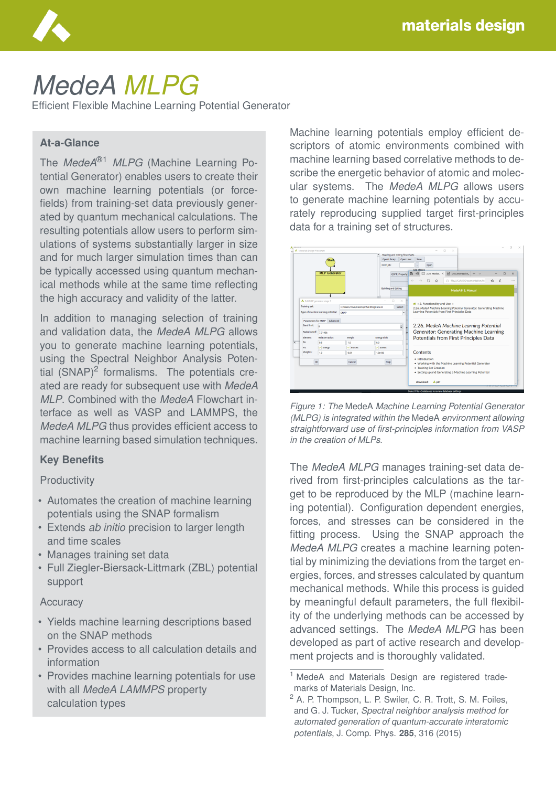

# *MedeA MLPG*

Efficient Flexible Machine Learning Potential Generator

## **At-a-Glance**

The *MedeA*®1 *MLPG* (Machine Learning Potential Generator) enables users to create their own machine learning potentials (or forcefields) from training-set data previously generated by quantum mechanical calculations. The resulting potentials allow users to perform simulations of systems substantially larger in size and for much larger simulation times than can be typically accessed using quantum mechanical methods while at the same time reflecting the high accuracy and validity of the latter.

In addition to managing selection of training and validation data, the *MedeA MLPG* allows you to generate machine learning potentials, using the Spectral Neighbor Analysis Potential  $(SNAP)^2$  formalisms. The potentials created are ready for subsequent use with *MedeA MLP*. Combined with the *MedeA* Flowchart interface as well as VASP and LAMMPS, the *MedeA MLPG* thus provides efficient access to machine learning based simulation techniques.

## **Key Benefits**

**Productivity** 

- Automates the creation of machine learning potentials using the SNAP formalism
- Extends *ab initio* precision to larger length and time scales
- Manages training set data
- Full Ziegler-Biersack-Littmark (ZBL) potential support

#### **Accuracy**

- Yields machine learning descriptions based on the SNAP methods
- Provides access to all calculation details and information
- Provides machine learning potentials for use with all *MedeA LAMMPS* property calculation types

Machine learning potentials employ efficient descriptors of atomic environments combined with machine learning based correlative methods to describe the energetic behavior of atomic and molecular systems. The *MedeA MLPG* allows users to generate machine learning potentials by accurately reproducing supplied target first-principles data for a training set of structures.



*Figure 1: The* MedeA *Machine Learning Potential Generator (MLPG) is integrated within the* MedeA *environment allowing straightforward use of first-principles information from VASP in the creation of MLPs.*

The *MedeA MLPG* manages training-set data derived from first-principles calculations as the target to be reproduced by the MLP (machine learning potential). Configuration dependent energies, forces, and stresses can be considered in the fitting process. Using the SNAP approach the *MedeA MLPG* creates a machine learning potential by minimizing the deviations from the target energies, forces, and stresses calculated by quantum mechanical methods. While this process is guided by meaningful default parameters, the full flexibility of the underlying methods can be accessed by advanced settings. The *MedeA MLPG* has been developed as part of active research and development projects and is thoroughly validated.

<sup>&</sup>lt;sup>1</sup> MedeA and Materials Design are registered trademarks of Materials Design, Inc.

<sup>2</sup> A. P. Thompson, L. P. Swiler, C. R. Trott, S. M. Foiles, and G. J. Tucker, *Spectral neighbor analysis method for automated generation of quantum-accurate interatomic potentials*, J. Comp. Phys. **285**, 316 (2015)